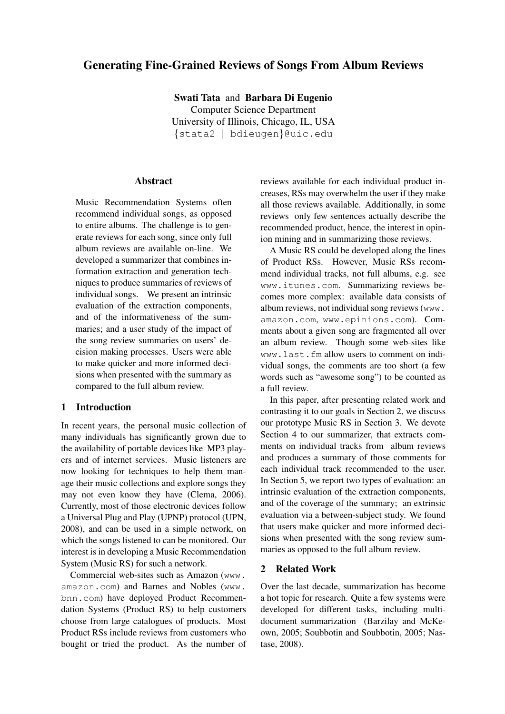# Generating Fine-Grained Reviews of Songs From Album Reviews

Swati Tata and Barbara Di Eugenio Computer Science Department University of Illinois, Chicago, IL, USA {stata2 | bdieugen}@uic.edu

### Abstract

Music Recommendation Systems often recommend individual songs, as opposed to entire albums. The challenge is to generate reviews for each song, since only full album reviews are available on-line. We developed a summarizer that combines information extraction and generation techniques to produce summaries of reviews of individual songs. We present an intrinsic evaluation of the extraction components, and of the informativeness of the summaries; and a user study of the impact of the song review summaries on users' decision making processes. Users were able to make quicker and more informed decisions when presented with the summary as compared to the full album review.

#### 1 Introduction

In recent years, the personal music collection of many individuals has significantly grown due to the availability of portable devices like MP3 players and of internet services. Music listeners are now looking for techniques to help them manage their music collections and explore songs they may not even know they have (Clema, 2006). Currently, most of those electronic devices follow a Universal Plug and Play (UPNP) protocol (UPN, 2008), and can be used in a simple network, on which the songs listened to can be monitored. Our interest is in developing a Music Recommendation System (Music RS) for such a network.

Commercial web-sites such as Amazon (www. amazon.com) and Barnes and Nobles (www. bnn.com) have deployed Product Recommendation Systems (Product RS) to help customers choose from large catalogues of products. Most Product RSs include reviews from customers who bought or tried the product. As the number of reviews available for each individual product increases, RSs may overwhelm the user if they make all those reviews available. Additionally, in some reviews only few sentences actually describe the recommended product, hence, the interest in opinion mining and in summarizing those reviews.

A Music RS could be developed along the lines of Product RSs. However, Music RSs recommend individual tracks, not full albums, e.g. see www.itunes.com. Summarizing reviews becomes more complex: available data consists of album reviews, not individual song reviews (www. amazon.com, www.epinions.com). Comments about a given song are fragmented all over an album review. Though some web-sites like www.last.fm allow users to comment on individual songs, the comments are too short (a few words such as "awesome song") to be counted as a full review.

In this paper, after presenting related work and contrasting it to our goals in Section 2, we discuss our prototype Music RS in Section 3. We devote Section 4 to our summarizer, that extracts comments on individual tracks from album reviews and produces a summary of those comments for each individual track recommended to the user. In Section 5, we report two types of evaluation: an intrinsic evaluation of the extraction components, and of the coverage of the summary; an extrinsic evaluation via a between-subject study. We found that users make quicker and more informed decisions when presented with the song review summaries as opposed to the full album review.

#### 2 Related Work

Over the last decade, summarization has become a hot topic for research. Quite a few systems were developed for different tasks, including multidocument summarization (Barzilay and McKeown, 2005; Soubbotin and Soubbotin, 2005; Nastase, 2008).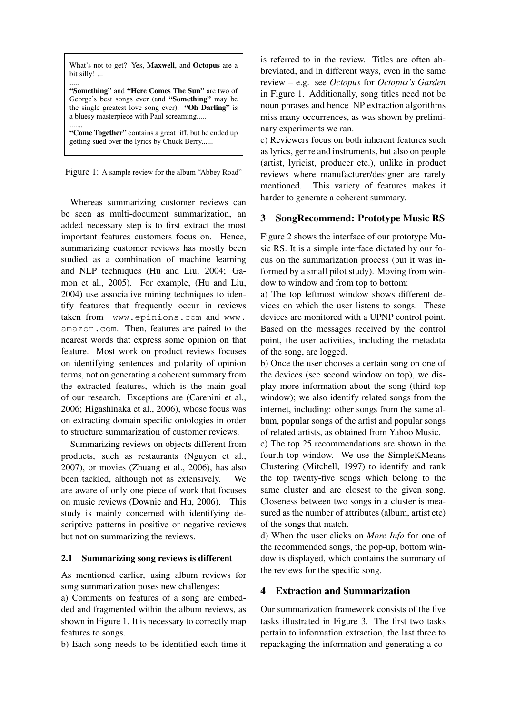What's not to get? Yes, Maxwell, and Octopus are a bit silly! ...

..... "Something" and "Here Comes The Sun" are two of George's best songs ever (and "Something" may be the single greatest love song ever). "Oh Darling" is a bluesy masterpiece with Paul screaming.....

....... "Come Together" contains a great riff, but he ended up getting sued over the lyrics by Chuck Berry......

Figure 1: A sample review for the album "Abbey Road"

Whereas summarizing customer reviews can be seen as multi-document summarization, an added necessary step is to first extract the most important features customers focus on. Hence, summarizing customer reviews has mostly been studied as a combination of machine learning and NLP techniques (Hu and Liu, 2004; Gamon et al., 2005). For example, (Hu and Liu, 2004) use associative mining techniques to identify features that frequently occur in reviews taken from www.epinions.com and www. amazon.com. Then, features are paired to the nearest words that express some opinion on that feature. Most work on product reviews focuses on identifying sentences and polarity of opinion terms, not on generating a coherent summary from the extracted features, which is the main goal of our research. Exceptions are (Carenini et al., 2006; Higashinaka et al., 2006), whose focus was on extracting domain specific ontologies in order to structure summarization of customer reviews.

Summarizing reviews on objects different from products, such as restaurants (Nguyen et al., 2007), or movies (Zhuang et al., 2006), has also been tackled, although not as extensively. We are aware of only one piece of work that focuses on music reviews (Downie and Hu, 2006). This study is mainly concerned with identifying descriptive patterns in positive or negative reviews but not on summarizing the reviews.

# 2.1 Summarizing song reviews is different

As mentioned earlier, using album reviews for song summarization poses new challenges:

a) Comments on features of a song are embedded and fragmented within the album reviews, as shown in Figure 1. It is necessary to correctly map features to songs.

b) Each song needs to be identified each time it

is referred to in the review. Titles are often abbreviated, and in different ways, even in the same review – e.g. see *Octopus* for *Octopus's Garden* in Figure 1. Additionally, song titles need not be noun phrases and hence NP extraction algorithms miss many occurrences, as was shown by preliminary experiments we ran.

c) Reviewers focus on both inherent features such as lyrics, genre and instruments, but also on people (artist, lyricist, producer etc.), unlike in product reviews where manufacturer/designer are rarely mentioned. This variety of features makes it harder to generate a coherent summary.

# 3 SongRecommend: Prototype Music RS

Figure 2 shows the interface of our prototype Music RS. It is a simple interface dictated by our focus on the summarization process (but it was informed by a small pilot study). Moving from window to window and from top to bottom:

a) The top leftmost window shows different devices on which the user listens to songs. These devices are monitored with a UPNP control point. Based on the messages received by the control point, the user activities, including the metadata of the song, are logged.

b) Once the user chooses a certain song on one of the devices (see second window on top), we display more information about the song (third top window); we also identify related songs from the internet, including: other songs from the same album, popular songs of the artist and popular songs of related artists, as obtained from Yahoo Music.

c) The top 25 recommendations are shown in the fourth top window. We use the SimpleKMeans Clustering (Mitchell, 1997) to identify and rank the top twenty-five songs which belong to the same cluster and are closest to the given song. Closeness between two songs in a cluster is measured as the number of attributes (album, artist etc) of the songs that match.

d) When the user clicks on *More Info* for one of the recommended songs, the pop-up, bottom window is displayed, which contains the summary of the reviews for the specific song.

# 4 Extraction and Summarization

Our summarization framework consists of the five tasks illustrated in Figure 3. The first two tasks pertain to information extraction, the last three to repackaging the information and generating a co-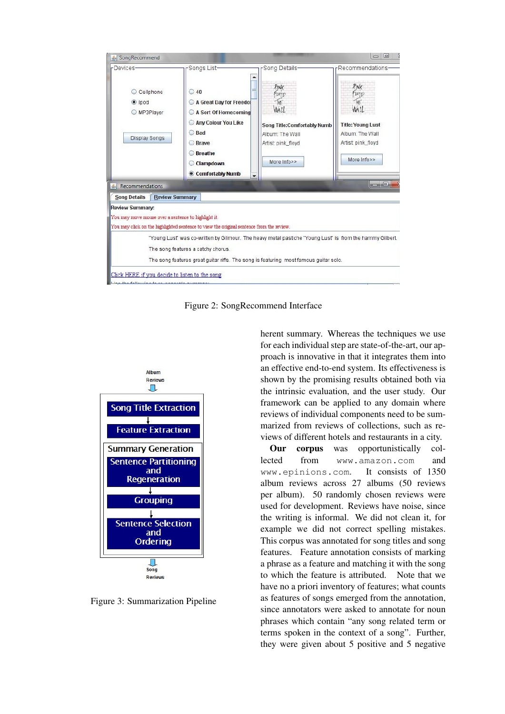

Figure 2: SongRecommend Interface



Figure 3: Summarization Pipeline

herent summary. Whereas the techniques we use for each individual step are state-of-the-art, our approach is innovative in that it integrates them into an effective end-to-end system. Its effectiveness is shown by the promising results obtained both via the intrinsic evaluation, and the user study. Our framework can be applied to any domain where reviews of individual components need to be summarized from reviews of collections, such as reviews of different hotels and restaurants in a city.

Our corpus was opportunistically collected from www.amazon.com and www.epinions.com. It consists of 1350 album reviews across 27 albums (50 reviews per album). 50 randomly chosen reviews were used for development. Reviews have noise, since the writing is informal. We did not clean it, for example we did not correct spelling mistakes. This corpus was annotated for song titles and song features. Feature annotation consists of marking a phrase as a feature and matching it with the song to which the feature is attributed. Note that we have no a priori inventory of features; what counts as features of songs emerged from the annotation, since annotators were asked to annotate for noun phrases which contain "any song related term or terms spoken in the context of a song". Further, they were given about 5 positive and 5 negative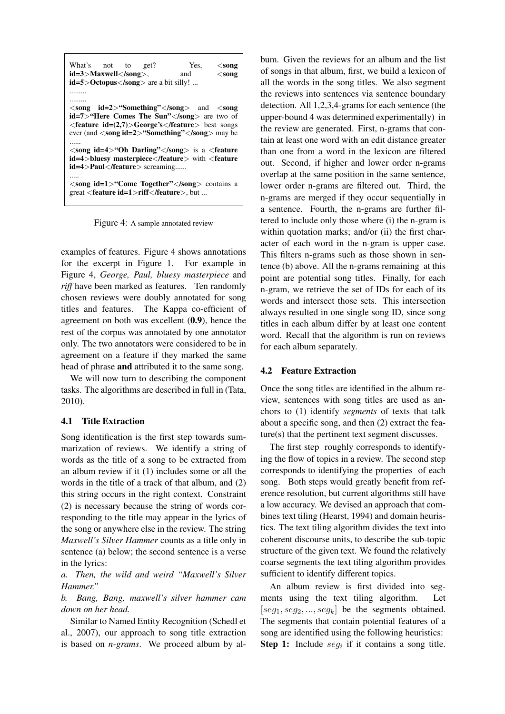| What's not to<br>Yes,<br>get?<br>$<$ song<br>id=3>Maxwell.<br>and<br>$<$ song<br>$id=5$ >Octopus are a bit silly!                                                                                                                                                                                                                  |
|------------------------------------------------------------------------------------------------------------------------------------------------------------------------------------------------------------------------------------------------------------------------------------------------------------------------------------|
| $\langle \text{song} \mid \text{id=2>}$ "Something" $\langle \text{song} \rangle$ and $\langle \text{song} \rangle$<br>id=7>"Here Comes The Sun" are two of<br>$\epsilon$ feature id=(2,7) $>$ George's $\epsilon$ /feature $>$ best songs<br>ever (and $\langle$ song id=2 $\rangle$ "Something" $\langle$ /song $\rangle$ may be |
| $\langle$ song id=4>"Oh Darling" $\langle$ /song> is a $\langle$ feature<br><b>id=4&gt;bluesy masterpiece</b> with <feature<br><b>id=4&gt;Paul</b> screaming</feature<br>                                                                                                                                                          |
| $\langle$ song id=1>"Come Together" $\langle$ /song> contains a<br>great <feature id="1">riff</feature> , but                                                                                                                                                                                                                      |

Figure 4: A sample annotated review

examples of features. Figure 4 shows annotations for the excerpt in Figure 1. For example in Figure 4, *George, Paul, bluesy masterpiece* and *riff* have been marked as features. Ten randomly chosen reviews were doubly annotated for song titles and features. The Kappa co-efficient of agreement on both was excellent (0.9), hence the rest of the corpus was annotated by one annotator only. The two annotators were considered to be in agreement on a feature if they marked the same head of phrase and attributed it to the same song.

We will now turn to describing the component tasks. The algorithms are described in full in (Tata, 2010).

# 4.1 Title Extraction

Song identification is the first step towards summarization of reviews. We identify a string of words as the title of a song to be extracted from an album review if it (1) includes some or all the words in the title of a track of that album, and (2) this string occurs in the right context. Constraint (2) is necessary because the string of words corresponding to the title may appear in the lyrics of the song or anywhere else in the review. The string *Maxwell's Silver Hammer* counts as a title only in sentence (a) below; the second sentence is a verse in the lyrics:

*a. Then, the wild and weird "Maxwell's Silver Hammer."*

*b. Bang, Bang, maxwell's silver hammer cam down on her head.*

Similar to Named Entity Recognition (Schedl et al., 2007), our approach to song title extraction is based on *n-grams*. We proceed album by album. Given the reviews for an album and the list of songs in that album, first, we build a lexicon of all the words in the song titles. We also segment the reviews into sentences via sentence boundary detection. All 1,2,3,4-grams for each sentence (the upper-bound 4 was determined experimentally) in the review are generated. First, n-grams that contain at least one word with an edit distance greater than one from a word in the lexicon are filtered out. Second, if higher and lower order n-grams overlap at the same position in the same sentence, lower order n-grams are filtered out. Third, the n-grams are merged if they occur sequentially in a sentence. Fourth, the n-grams are further filtered to include only those where (i) the n-gram is within quotation marks; and/or (ii) the first character of each word in the n-gram is upper case. This filters n-grams such as those shown in sentence (b) above. All the n-grams remaining at this point are potential song titles. Finally, for each n-gram, we retrieve the set of IDs for each of its words and intersect those sets. This intersection always resulted in one single song ID, since song titles in each album differ by at least one content word. Recall that the algorithm is run on reviews for each album separately.

#### 4.2 Feature Extraction

Once the song titles are identified in the album review, sentences with song titles are used as anchors to (1) identify *segments* of texts that talk about a specific song, and then (2) extract the feature(s) that the pertinent text segment discusses.

The first step roughly corresponds to identifying the flow of topics in a review. The second step corresponds to identifying the properties of each song. Both steps would greatly benefit from reference resolution, but current algorithms still have a low accuracy. We devised an approach that combines text tiling (Hearst, 1994) and domain heuristics. The text tiling algorithm divides the text into coherent discourse units, to describe the sub-topic structure of the given text. We found the relatively coarse segments the text tiling algorithm provides sufficient to identify different topics.

An album review is first divided into segments using the text tiling algorithm. Let  $[seg_1, seg_2, ..., seg_k]$  be the segments obtained. The segments that contain potential features of a song are identified using the following heuristics: **Step 1:** Include  $seg_i$  if it contains a song title.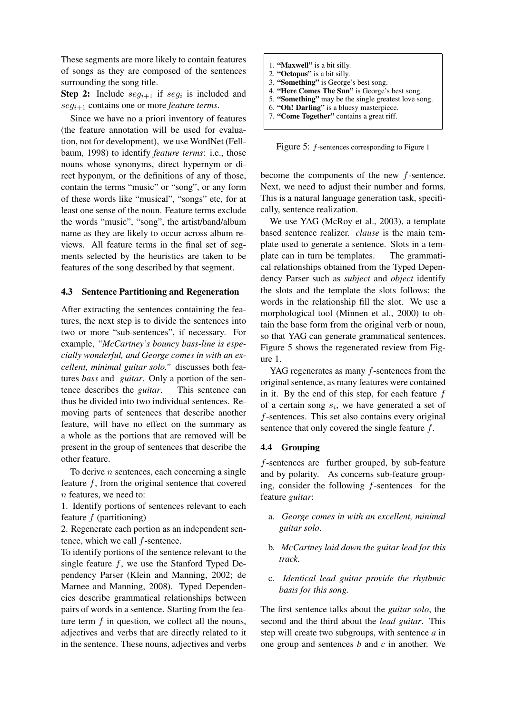These segments are more likely to contain features of songs as they are composed of the sentences surrounding the song title.

**Step 2:** Include  $seg_{i+1}$  if  $seg_i$  is included and segi+1 contains one or more *feature terms*.

Since we have no a priori inventory of features (the feature annotation will be used for evaluation, not for development), we use WordNet (Fellbaum, 1998) to identify *feature terms*: i.e., those nouns whose synonyms, direct hypernym or direct hyponym, or the definitions of any of those, contain the terms "music" or "song", or any form of these words like "musical", "songs" etc, for at least one sense of the noun. Feature terms exclude the words "music", "song", the artist/band/album name as they are likely to occur across album reviews. All feature terms in the final set of segments selected by the heuristics are taken to be features of the song described by that segment.

#### 4.3 Sentence Partitioning and Regeneration

After extracting the sentences containing the features, the next step is to divide the sentences into two or more "sub-sentences", if necessary. For example, *"McCartney's bouncy bass-line is especially wonderful, and George comes in with an excellent, minimal guitar solo."* discusses both features *bass* and *guitar*. Only a portion of the sentence describes the *guitar*. This sentence can thus be divided into two individual sentences. Removing parts of sentences that describe another feature, will have no effect on the summary as a whole as the portions that are removed will be present in the group of sentences that describe the other feature.

To derive  $n$  sentences, each concerning a single feature  $f$ , from the original sentence that covered n features, we need to:

1. Identify portions of sentences relevant to each feature  $f$  (partitioning)

2. Regenerate each portion as an independent sentence, which we call f-sentence.

To identify portions of the sentence relevant to the single feature f, we use the Stanford Typed Dependency Parser (Klein and Manning, 2002; de Marnee and Manning, 2008). Typed Dependencies describe grammatical relationships between pairs of words in a sentence. Starting from the feature term  $f$  in question, we collect all the nouns, adjectives and verbs that are directly related to it in the sentence. These nouns, adjectives and verbs

1. "Maxwell" is a bit silly. 2. "Octopus" is a bit silly. 3. "Something" is George's best song. 4. "Here Comes The Sun" is George's best song. 5. "Something" may be the single greatest love song. 6. "Oh! Darling" is a bluesy masterpiece. 7. "Come Together" contains a great riff.

Figure 5: f-sentences corresponding to Figure 1

become the components of the new f-sentence. Next, we need to adjust their number and forms. This is a natural language generation task, specifically, sentence realization.

We use YAG (McRoy et al., 2003), a template based sentence realizer. *clause* is the main template used to generate a sentence. Slots in a template can in turn be templates. The grammatical relationships obtained from the Typed Dependency Parser such as *subject* and *object* identify the slots and the template the slots follows; the words in the relationship fill the slot. We use a morphological tool (Minnen et al., 2000) to obtain the base form from the original verb or noun, so that YAG can generate grammatical sentences. Figure 5 shows the regenerated review from Figure 1.

YAG regenerates as many  $f$ -sentences from the original sentence, as many features were contained in it. By the end of this step, for each feature  $f$ of a certain song  $s_i$ , we have generated a set of f-sentences. This set also contains every original sentence that only covered the single feature  $f$ .

#### 4.4 Grouping

f-sentences are further grouped, by sub-feature and by polarity. As concerns sub-feature grouping, consider the following f-sentences for the feature *guitar*:

- a. *George comes in with an excellent, minimal guitar solo*.
- b. *McCartney laid down the guitar lead for this track.*
- c. *Identical lead guitar provide the rhythmic basis for this song.*

The first sentence talks about the *guitar solo*, the second and the third about the *lead guitar*. This step will create two subgroups, with sentence *a* in one group and sentences *b* and *c* in another. We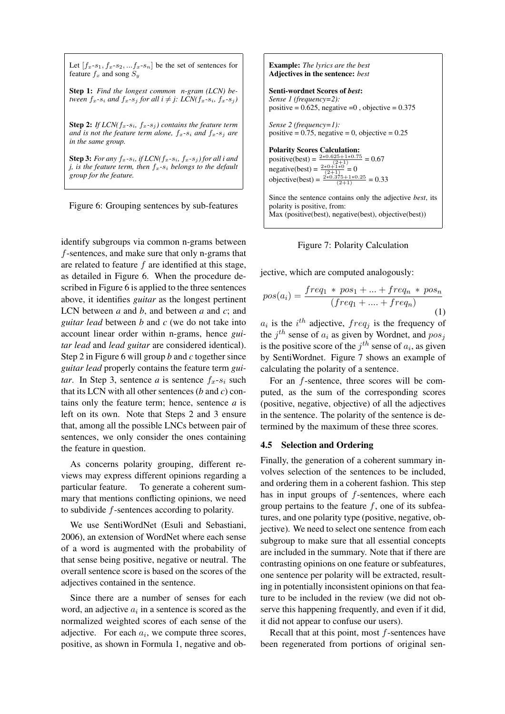Let  $[f_x-s_1, f_x-s_2, \ldots, f_x-s_n]$  be the set of sentences for feature  $f_x$  and song  $S_y$ 

Step 1: *Find the longest common n-gram (LCN) between*  $f_x$ -s<sub>i</sub> and  $f_x$ -s<sub>j</sub> for all  $i \neq j$ : *LCN*( $f_x$ -s<sub>i</sub>,  $f_x$ -s<sub>j</sub>)

**Step 2:** *If LCN*( $f_x$ - $s_i$ ,  $f_x$ - $s_j$ ) contains the feature term *and is not the feature term alone,*  $f_x$ - $s_i$  *and*  $f_x$ - $s_j$  *are in the same group.*

**Step 3:** For any  $f_x$ -s<sub>i</sub>, if LCN( $f_x$ -s<sub>i</sub>,  $f_x$ -s<sub>i</sub>) for all i and *j, is the feature term, then*  $f_x$ - $s_i$  *belongs to the default group for the feature.*

Figure 6: Grouping sentences by sub-features

identify subgroups via common n-grams between f-sentences, and make sure that only n-grams that are related to feature  $f$  are identified at this stage, as detailed in Figure 6. When the procedure described in Figure 6 is applied to the three sentences above, it identifies *guitar* as the longest pertinent LCN between *a* and *b*, and between *a* and *c*; and *guitar lead* between *b* and *c* (we do not take into account linear order within n-grams, hence *guitar lead* and *lead guitar* are considered identical). Step 2 in Figure 6 will group *b* and *c* together since *guitar lead* properly contains the feature term *guitar*. In Step 3, sentence *a* is sentence  $f_x - s_i$  such that its LCN with all other sentences (*b* and *c*) contains only the feature term; hence, sentence *a* is left on its own. Note that Steps 2 and 3 ensure that, among all the possible LNCs between pair of sentences, we only consider the ones containing the feature in question.

As concerns polarity grouping, different reviews may express different opinions regarding a particular feature. To generate a coherent summary that mentions conflicting opinions, we need to subdivide f-sentences according to polarity.

We use SentiWordNet (Esuli and Sebastiani, 2006), an extension of WordNet where each sense of a word is augmented with the probability of that sense being positive, negative or neutral. The overall sentence score is based on the scores of the adjectives contained in the sentence.

Since there are a number of senses for each word, an adjective  $a_i$  in a sentence is scored as the normalized weighted scores of each sense of the adjective. For each  $a_i$ , we compute three scores, positive, as shown in Formula 1, negative and obExample: *The lyrics are the best* Adjectives in the sentence: *best* Senti-wordnet Scores of *best*: *Sense 1 (frequency=2):* positive =  $0.625$ , negative = 0, objective =  $0.375$ *Sense 2 (frequency=1):* positive =  $0.75$ , negative = 0, objective =  $0.25$ Polarity Scores Calculation: positive(best) =  $\frac{2*0.625+1*0.75}{(2+1)}$  = 0.67 negative(best) =  $\frac{2*0+1*0}{(2+1)} = 0$ objective(best) =  $\frac{2*0.375+1*0.25}{(2+1)}$  = 0.33 Since the sentence contains only the adjective *best*, its polarity is positive, from: Max (positive(best), negative(best), objective(best))



jective, which are computed analogously:

$$
pos(a_i) = \frac{freq_1 * pos_1 + \dots + freq_n * pos_n}{(freq_1 + \dots + freq_n)}
$$
<sup>(1)</sup>

 $a_i$  is the i<sup>th</sup> adjective, freq<sub>j</sub> is the frequency of the  $j^{th}$  sense of  $a_i$  as given by Wordnet, and  $pos_j$ is the positive score of the  $j<sup>th</sup>$  sense of  $a<sub>i</sub>$ , as given by SentiWordnet. Figure 7 shows an example of calculating the polarity of a sentence.

For an f-sentence, three scores will be computed, as the sum of the corresponding scores (positive, negative, objective) of all the adjectives in the sentence. The polarity of the sentence is determined by the maximum of these three scores.

#### 4.5 Selection and Ordering

Finally, the generation of a coherent summary involves selection of the sentences to be included, and ordering them in a coherent fashion. This step has in input groups of f-sentences, where each group pertains to the feature  $f$ , one of its subfeatures, and one polarity type (positive, negative, objective). We need to select one sentence from each subgroup to make sure that all essential concepts are included in the summary. Note that if there are contrasting opinions on one feature or subfeatures, one sentence per polarity will be extracted, resulting in potentially inconsistent opinions on that feature to be included in the review (we did not observe this happening frequently, and even if it did, it did not appear to confuse our users).

Recall that at this point, most  $f$ -sentences have been regenerated from portions of original sen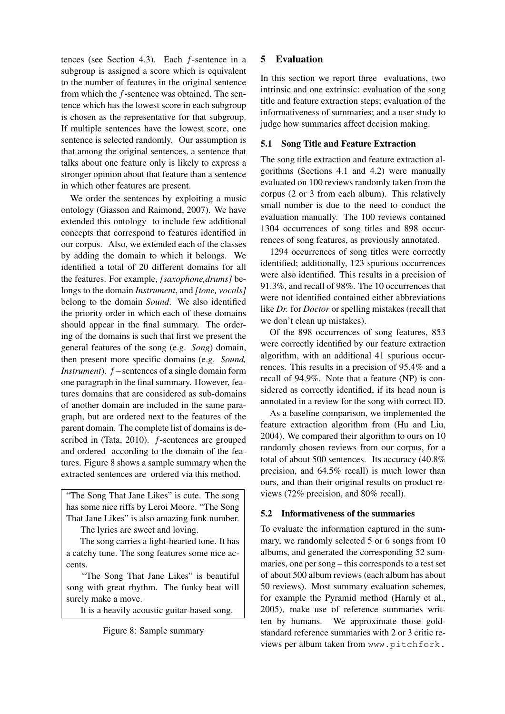tences (see Section 4.3). Each f-sentence in a subgroup is assigned a score which is equivalent to the number of features in the original sentence from which the f-sentence was obtained. The sentence which has the lowest score in each subgroup is chosen as the representative for that subgroup. If multiple sentences have the lowest score, one sentence is selected randomly. Our assumption is that among the original sentences, a sentence that talks about one feature only is likely to express a stronger opinion about that feature than a sentence in which other features are present.

We order the sentences by exploiting a music ontology (Giasson and Raimond, 2007). We have extended this ontology to include few additional concepts that correspond to features identified in our corpus. Also, we extended each of the classes by adding the domain to which it belongs. We identified a total of 20 different domains for all the features. For example, *[saxophone,drums]* belongs to the domain *Instrument*, and *[tone, vocals]* belong to the domain *Sound*. We also identified the priority order in which each of these domains should appear in the final summary. The ordering of the domains is such that first we present the general features of the song (e.g. *Song*) domain, then present more specific domains (e.g. *Sound, Instrument*). *f* − sentences of a single domain form one paragraph in the final summary. However, features domains that are considered as sub-domains of another domain are included in the same paragraph, but are ordered next to the features of the parent domain. The complete list of domains is described in (Tata, 2010). f-sentences are grouped and ordered according to the domain of the features. Figure 8 shows a sample summary when the extracted sentences are ordered via this method.

"The Song That Jane Likes" is cute. The song has some nice riffs by Leroi Moore. "The Song That Jane Likes" is also amazing funk number. The lyrics are sweet and loving.

The song carries a light-hearted tone. It has a catchy tune. The song features some nice ac-

cents. "The Song That Jane Likes" is beautiful song with great rhythm. The funky beat will

surely make a move.

It is a heavily acoustic guitar-based song.

# 5 Evaluation

In this section we report three evaluations, two intrinsic and one extrinsic: evaluation of the song title and feature extraction steps; evaluation of the informativeness of summaries; and a user study to judge how summaries affect decision making.

# 5.1 Song Title and Feature Extraction

The song title extraction and feature extraction algorithms (Sections 4.1 and 4.2) were manually evaluated on 100 reviews randomly taken from the corpus (2 or 3 from each album). This relatively small number is due to the need to conduct the evaluation manually. The 100 reviews contained 1304 occurrences of song titles and 898 occurrences of song features, as previously annotated.

1294 occurrences of song titles were correctly identified; additionally, 123 spurious occurrences were also identified. This results in a precision of 91.3%, and recall of 98%. The 10 occurrences that were not identified contained either abbreviations like *Dr.* for *Doctor* or spelling mistakes (recall that we don't clean up mistakes).

Of the 898 occurrences of song features, 853 were correctly identified by our feature extraction algorithm, with an additional 41 spurious occurrences. This results in a precision of 95.4% and a recall of 94.9%. Note that a feature (NP) is considered as correctly identified, if its head noun is annotated in a review for the song with correct ID.

As a baseline comparison, we implemented the feature extraction algorithm from (Hu and Liu, 2004). We compared their algorithm to ours on 10 randomly chosen reviews from our corpus, for a total of about 500 sentences. Its accuracy (40.8% precision, and 64.5% recall) is much lower than ours, and than their original results on product reviews (72% precision, and 80% recall).

# 5.2 Informativeness of the summaries

To evaluate the information captured in the summary, we randomly selected 5 or 6 songs from 10 albums, and generated the corresponding 52 summaries, one per song – this corresponds to a test set of about 500 album reviews (each album has about 50 reviews). Most summary evaluation schemes, for example the Pyramid method (Harnly et al., 2005), make use of reference summaries written by humans. We approximate those goldstandard reference summaries with 2 or 3 critic reviews per album taken from www.pitchfork.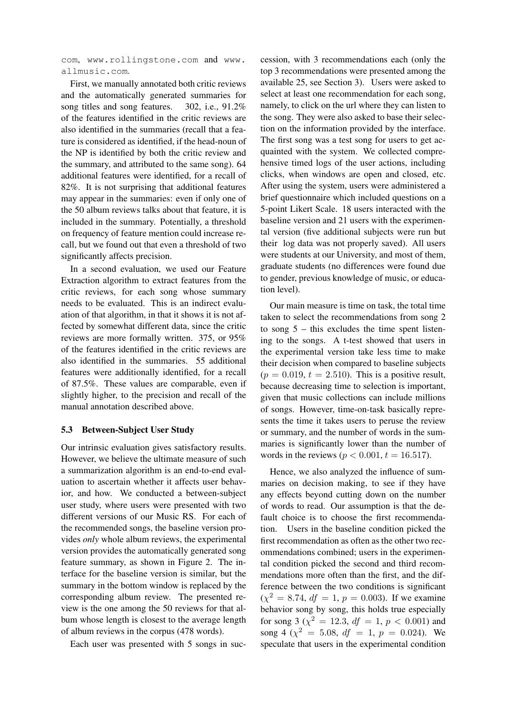com, www.rollingstone.com and www. allmusic.com.

First, we manually annotated both critic reviews and the automatically generated summaries for song titles and song features. 302, i.e., 91.2% of the features identified in the critic reviews are also identified in the summaries (recall that a feature is considered as identified, if the head-noun of the NP is identified by both the critic review and the summary, and attributed to the same song). 64 additional features were identified, for a recall of 82%. It is not surprising that additional features may appear in the summaries: even if only one of the 50 album reviews talks about that feature, it is included in the summary. Potentially, a threshold on frequency of feature mention could increase recall, but we found out that even a threshold of two significantly affects precision.

In a second evaluation, we used our Feature Extraction algorithm to extract features from the critic reviews, for each song whose summary needs to be evaluated. This is an indirect evaluation of that algorithm, in that it shows it is not affected by somewhat different data, since the critic reviews are more formally written. 375, or 95% of the features identified in the critic reviews are also identified in the summaries. 55 additional features were additionally identified, for a recall of 87.5%. These values are comparable, even if slightly higher, to the precision and recall of the manual annotation described above.

#### 5.3 Between-Subject User Study

Our intrinsic evaluation gives satisfactory results. However, we believe the ultimate measure of such a summarization algorithm is an end-to-end evaluation to ascertain whether it affects user behavior, and how. We conducted a between-subject user study, where users were presented with two different versions of our Music RS. For each of the recommended songs, the baseline version provides *only* whole album reviews, the experimental version provides the automatically generated song feature summary, as shown in Figure 2. The interface for the baseline version is similar, but the summary in the bottom window is replaced by the corresponding album review. The presented review is the one among the 50 reviews for that album whose length is closest to the average length of album reviews in the corpus (478 words).

Each user was presented with 5 songs in suc-

cession, with 3 recommendations each (only the top 3 recommendations were presented among the available 25, see Section 3). Users were asked to select at least one recommendation for each song, namely, to click on the url where they can listen to the song. They were also asked to base their selection on the information provided by the interface. The first song was a test song for users to get acquainted with the system. We collected comprehensive timed logs of the user actions, including clicks, when windows are open and closed, etc. After using the system, users were administered a brief questionnaire which included questions on a 5-point Likert Scale. 18 users interacted with the baseline version and 21 users with the experimental version (five additional subjects were run but their log data was not properly saved). All users were students at our University, and most of them, graduate students (no differences were found due to gender, previous knowledge of music, or education level).

Our main measure is time on task, the total time taken to select the recommendations from song 2 to song  $5 -$  this excludes the time spent listening to the songs. A t-test showed that users in the experimental version take less time to make their decision when compared to baseline subjects  $(p = 0.019, t = 2.510)$ . This is a positive result, because decreasing time to selection is important, given that music collections can include millions of songs. However, time-on-task basically represents the time it takes users to peruse the review or summary, and the number of words in the summaries is significantly lower than the number of words in the reviews ( $p < 0.001$ ,  $t = 16.517$ ).

Hence, we also analyzed the influence of summaries on decision making, to see if they have any effects beyond cutting down on the number of words to read. Our assumption is that the default choice is to choose the first recommendation. Users in the baseline condition picked the first recommendation as often as the other two recommendations combined; users in the experimental condition picked the second and third recommendations more often than the first, and the difference between the two conditions is significant  $(\chi^2 = 8.74, df = 1, p = 0.003)$ . If we examine behavior song by song, this holds true especially for song 3 ( $\chi^2 = 12.3$ ,  $df = 1$ ,  $p < 0.001$ ) and song 4 ( $\chi^2 = 5.08$ ,  $df = 1$ ,  $p = 0.024$ ). We speculate that users in the experimental condition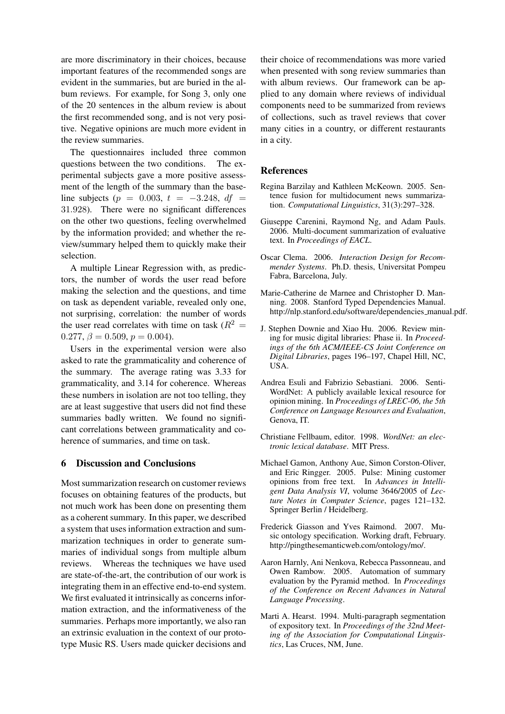are more discriminatory in their choices, because important features of the recommended songs are evident in the summaries, but are buried in the album reviews. For example, for Song 3, only one of the 20 sentences in the album review is about the first recommended song, and is not very positive. Negative opinions are much more evident in the review summaries.

The questionnaires included three common questions between the two conditions. The experimental subjects gave a more positive assessment of the length of the summary than the baseline subjects (p = 0.003, t = -3.248, df = 31.928). There were no significant differences on the other two questions, feeling overwhelmed by the information provided; and whether the review/summary helped them to quickly make their selection.

A multiple Linear Regression with, as predictors, the number of words the user read before making the selection and the questions, and time on task as dependent variable, revealed only one, not surprising, correlation: the number of words the user read correlates with time on task ( $R^2 =$ 0.277,  $\beta = 0.509$ ,  $p = 0.004$ ).

Users in the experimental version were also asked to rate the grammaticality and coherence of the summary. The average rating was 3.33 for grammaticality, and 3.14 for coherence. Whereas these numbers in isolation are not too telling, they are at least suggestive that users did not find these summaries badly written. We found no significant correlations between grammaticality and coherence of summaries, and time on task.

#### 6 Discussion and Conclusions

Most summarization research on customer reviews focuses on obtaining features of the products, but not much work has been done on presenting them as a coherent summary. In this paper, we described a system that uses information extraction and summarization techniques in order to generate summaries of individual songs from multiple album reviews. Whereas the techniques we have used are state-of-the-art, the contribution of our work is integrating them in an effective end-to-end system. We first evaluated it intrinsically as concerns information extraction, and the informativeness of the summaries. Perhaps more importantly, we also ran an extrinsic evaluation in the context of our prototype Music RS. Users made quicker decisions and their choice of recommendations was more varied when presented with song review summaries than with album reviews. Our framework can be applied to any domain where reviews of individual components need to be summarized from reviews of collections, such as travel reviews that cover many cities in a country, or different restaurants in a city.

#### References

- Regina Barzilay and Kathleen McKeown. 2005. Sentence fusion for multidocument news summarization. *Computational Linguistics*, 31(3):297–328.
- Giuseppe Carenini, Raymond Ng, and Adam Pauls. 2006. Multi-document summarization of evaluative text. In *Proceedings of EACL*.
- Oscar Clema. 2006. *Interaction Design for Recommender Systems*. Ph.D. thesis, Universitat Pompeu Fabra, Barcelona, July.
- Marie-Catherine de Marnee and Christopher D. Manning. 2008. Stanford Typed Dependencies Manual. http://nlp.stanford.edu/software/dependencies manual.pdf.
- J. Stephen Downie and Xiao Hu. 2006. Review mining for music digital libraries: Phase ii. In *Proceedings of the 6th ACM/IEEE-CS Joint Conference on Digital Libraries*, pages 196–197, Chapel Hill, NC, USA.
- Andrea Esuli and Fabrizio Sebastiani. 2006. Senti-WordNet: A publicly available lexical resource for opinion mining. In *Proceedings of LREC-06, the 5th Conference on Language Resources and Evaluation*, Genova, IT.
- Christiane Fellbaum, editor. 1998. *WordNet: an electronic lexical database*. MIT Press.
- Michael Gamon, Anthony Aue, Simon Corston-Oliver, and Eric Ringger. 2005. Pulse: Mining customer opinions from free text. In *Advances in Intelligent Data Analysis VI*, volume 3646/2005 of *Lecture Notes in Computer Science*, pages 121–132. Springer Berlin / Heidelberg.
- Frederick Giasson and Yves Raimond. 2007. Music ontology specification. Working draft, February. http://pingthesemanticweb.com/ontology/mo/.
- Aaron Harnly, Ani Nenkova, Rebecca Passonneau, and Owen Rambow. 2005. Automation of summary evaluation by the Pyramid method. In *Proceedings of the Conference on Recent Advances in Natural Language Processing*.
- Marti A. Hearst. 1994. Multi-paragraph segmentation of expository text. In *Proceedings of the 32nd Meeting of the Association for Computational Linguistics*, Las Cruces, NM, June.